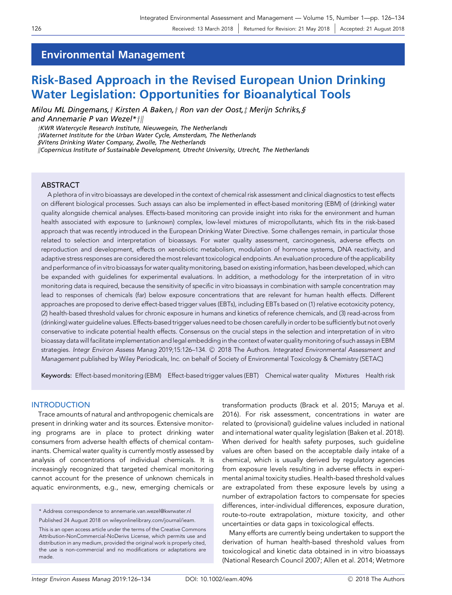## Environmental Management

# Risk-Based Approach in the Revised European Union Drinking Water Legislation: Opportunities for Bioanalytical Tools

Milou ML Dingemans, † Kirsten A Baken, † Ron van der Oost, ‡ Merijn Schriks, § and Annemarie P van Wezel $*$ †||

yKWR Watercycle Research Institute, Nieuwegein, The Netherlands zWaternet Institute for the Urban Water Cycle, Amsterdam, The Netherlands §Vitens Drinking Water Company, Zwolle, The Netherlands kCopernicus Institute of Sustainable Development, Utrecht University, Utrecht, The Netherlands

## ABSTRACT

A plethora of in vitro bioassays are developed in the context of chemical risk assessment and clinical diagnostics to test effects on different biological processes. Such assays can also be implemented in effect-based monitoring (EBM) of (drinking) water quality alongside chemical analyses. Effects-based monitoring can provide insight into risks for the environment and human health associated with exposure to (unknown) complex, low-level mixtures of micropollutants, which fits in the risk-based approach that was recently introduced in the European Drinking Water Directive. Some challenges remain, in particular those related to selection and interpretation of bioassays. For water quality assessment, carcinogenesis, adverse effects on reproduction and development, effects on xenobiotic metabolism, modulation of hormone systems, DNA reactivity, and adaptive stress responses are considered the most relevant toxicological endpoints. An evaluation procedure of the applicability and performance of in vitro bioassays for water quality monitoring, based on existing information, has been developed, which can be expanded with guidelines for experimental evaluations. In addition, a methodology for the interpretation of in vitro monitoring data is required, because the sensitivity of specific in vitro bioassays in combination with sample concentration may lead to responses of chemicals (far) below exposure concentrations that are relevant for human health effects. Different approaches are proposed to derive effect-based trigger values (EBTs), including EBTs based on (1) relative ecotoxicity potency, (2) health-based threshold values for chronic exposure in humans and kinetics of reference chemicals, and (3) read-across from (drinking) water guideline values. Effects-based trigger values need to be chosen carefully in order to be sufficiently but not overly conservative to indicate potential health effects. Consensus on the crucial steps in the selection and interpretation of in vitro bioassay data will facilitate implementation and legal embedding in the context of water quality monitoring of such assays in EBM strategies. Integr Environ Assess Manag 2019;15:126–134. © 2018 The Authors. Integrated Environmental Assessment and Management published by Wiley Periodicals, Inc. on behalf of Society of Environmental Toxicology & Chemistry (SETAC)

Keywords: Effect-based monitoring (EBM) Effect-based trigger values (EBT) Chemical water quality Mixtures Health risk

#### INTRODUCTION

Trace amounts of natural and anthropogenic chemicals are present in drinking water and its sources. Extensive monitoring programs are in place to protect drinking water consumers from adverse health effects of chemical contaminants. Chemical water quality is currently mostly assessed by analysis of concentrations of individual chemicals. It is increasingly recognized that targeted chemical monitoring cannot account for the presence of unknown chemicals in aquatic environments, e.g., new, emerging chemicals or

\* Address correspondence to annemarie.van.wezel@kwrwater.nl Published 24 August 2018 on wileyonlinelibrary.com/journal/ieam.

This is an open access article under the terms of the [Creative Commons](http://creativecommons.org/licenses/by-nc-nd/4.0/) [Attribution-NonCommercial-NoDerivs](http://creativecommons.org/licenses/by-nc-nd/4.0/) License, which permits use and distribution in any medium, provided the original work is properly cited, the use is non-commercial and no modifications or adaptations are made.

transformation products (Brack et al. 2015; Maruya et al. 2016). For risk assessment, concentrations in water are related to (provisional) guideline values included in national and international water quality legislation (Baken et al. 2018). When derived for health safety purposes, such guideline values are often based on the acceptable daily intake of a chemical, which is usually derived by regulatory agencies from exposure levels resulting in adverse effects in experimental animal toxicity studies. Health-based threshold values are extrapolated from these exposure levels by using a number of extrapolation factors to compensate for species differences, inter-individual differences, exposure duration, route-to-route extrapolation, mixture toxicity, and other uncertainties or data gaps in toxicological effects.

Many efforts are currently being undertaken to support the derivation of human health-based threshold values from toxicological and kinetic data obtained in in vitro bioassays (National Research Council 2007; Allen et al. 2014; Wetmore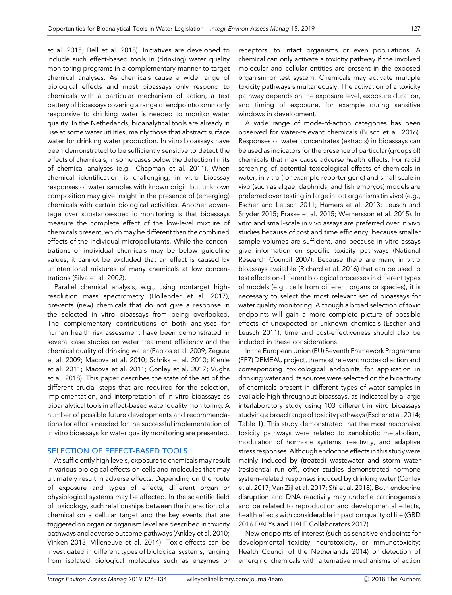et al. 2015; Bell et al. 2018). Initiatives are developed to include such effect-based tools in (drinking) water quality monitoring programs in a complementary manner to target chemical analyses. As chemicals cause a wide range of biological effects and most bioassays only respond to chemicals with a particular mechanism of action, a test battery of bioassays covering a range of endpoints commonly responsive to drinking water is needed to monitor water quality. In the Netherlands, bioanalytical tools are already in use at some water utilities, mainly those that abstract surface water for drinking water production. In vitro bioassays have been demonstrated to be sufficiently sensitive to detect the effects of chemicals, in some cases below the detection limits of chemical analyses (e.g., Chapman et al. 2011). When chemical identification is challenging, in vitro bioassay responses of water samples with known origin but unknown composition may give insight in the presence of (emerging) chemicals with certain biological activities. Another advantage over substance-specific monitoring is that bioassays measure the complete effect of the low-level mixture of chemicals present, which may be different than the combined effects of the individual micropollutants. While the concentrations of individual chemicals may be below guideline values, it cannot be excluded that an effect is caused by unintentional mixtures of many chemicals at low concentrations (Silva et al. 2002).

Parallel chemical analysis, e.g., using nontarget highresolution mass spectrometry (Hollender et al. 2017), prevents (new) chemicals that do not give a response in the selected in vitro bioassays from being overlooked. The complementary contributions of both analyses for human health risk assessment have been demonstrated in several case studies on water treatment efficiency and the chemical quality of drinking water (Pablos et al. 2009; Zegura et al. 2009; Macova et al. 2010; Schriks et al. 2010; Kienle et al. 2011; Macova et al. 2011; Conley et al. 2017; Vughs et al. 2018). This paper describes the state of the art of the different crucial steps that are required for the selection, implementation, and interpretation of in vitro bioassays as bioanalytical tools in effect-based water quality monitoring. A number of possible future developments and recommendations for efforts needed for the successful implementation of in vitro bioassays for water quality monitoring are presented.

## SELECTION OF EFFECT-BASED TOOLS

At sufficiently high levels, exposure to chemicals may result in various biological effects on cells and molecules that may ultimately result in adverse effects. Depending on the route of exposure and types of effects, different organ or physiological systems may be affected. In the scientific field of toxicology, such relationships between the interaction of a chemical on a cellular target and the key events that are triggered on organ or organism level are described in toxicity pathways and adverse outcome pathways (Ankley et al. 2010; Vinken 2013; Villeneuve et al. 2014). Toxic effects can be investigated in different types of biological systems, ranging from isolated biological molecules such as enzymes or receptors, to intact organisms or even populations. A chemical can only activate a toxicity pathway if the involved molecular and cellular entities are present in the exposed organism or test system. Chemicals may activate multiple toxicity pathways simultaneously. The activation of a toxicity pathway depends on the exposure level, exposure duration, and timing of exposure, for example during sensitive windows in development.

A wide range of mode-of-action categories has been observed for water-relevant chemicals (Busch et al. 2016). Responses of water concentrates (extracts) in bioassays can be used as indicators for the presence of particular (groups of) chemicals that may cause adverse health effects. For rapid screening of potential toxicological effects of chemicals in water, in vitro (for example reporter gene) and small-scale in vivo (such as algae, daphnids, and fish embryos) models are preferred over testing in large intact organisms (in vivo) (e.g., Escher and Leusch 2011; Hamers et al. 2013; Leusch and Snyder 2015; Prasse et al. 2015; Wernersson et al. 2015). In vitro and small-scale in vivo assays are preferred over in vivo studies because of cost and time efficiency, because smaller sample volumes are sufficient, and because in vitro assays give information on specific toxicity pathways (National Research Council 2007). Because there are many in vitro bioassays available (Richard et al. 2016) that can be used to test effects on different biological processes in different types of models (e.g., cells from different organs or species), it is necessary to select the most relevant set of bioassays for water quality monitoring. Although a broad selection of toxic endpoints will gain a more complete picture of possible effects of unexpected or unknown chemicals (Escher and Leusch 2011), time and cost-effectiveness should also be included in these considerations.

In the European Union (EU) Seventh Framework Programme (FP7) DEMEAU project, the most relevant modes of action and corresponding toxicological endpoints for application in drinking water and its sources were selected on the bioactivity of chemicals present in different types of water samples in available high-throughput bioassays, as indicated by a large interlaboratory study using 103 different in vitro bioassays studying a broad range of toxicity pathways (Escher et al. 2014; Table 1). This study demonstrated that the most responsive toxicity pathways were related to xenobiotic metabolism, modulation of hormone systems, reactivity, and adaptive stress responses. Although endocrine effects in this study were mainly induced by (treated) wastewater and storm water (residential run off), other studies demonstrated hormone system–related responses induced by drinking water (Conley et al. 2017; Van Zijl et al. 2017; Shi et al. 2018). Both endocrine disruption and DNA reactivity may underlie carcinogenesis and be related to reproduction and developmental effects, health effects with considerable impact on quality of life (GBD 2016 DALYs and HALE Collaborators 2017).

New endpoints of interest (such as sensitive endpoints for developmental toxicity, neurotoxicity, or immunotoxicity; Health Council of the Netherlands 2014) or detection of emerging chemicals with alternative mechanisms of action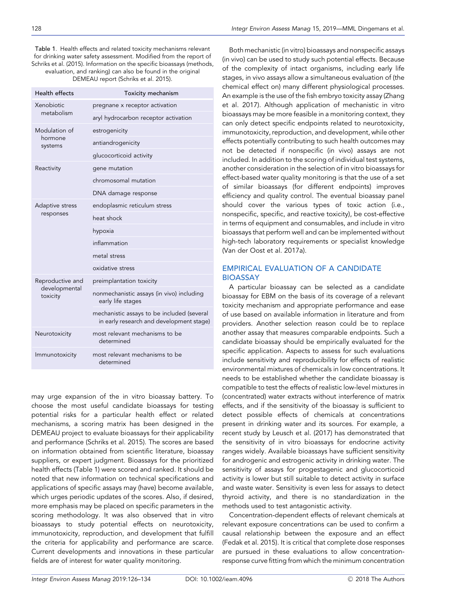DEMEAU report (Schriks et al. 2015).

| Health effects                                | Toxicity mechanism                                                                     |
|-----------------------------------------------|----------------------------------------------------------------------------------------|
| <b>Xenobiotic</b><br>metabolism               | pregnane x receptor activation                                                         |
|                                               | aryl hydrocarbon receptor activation                                                   |
| Modulation of<br>hormone<br>systems           | estrogenicity                                                                          |
|                                               | antiandrogenicity                                                                      |
|                                               | glucocorticoid activity                                                                |
| Reactivity                                    | gene mutation                                                                          |
|                                               | chromosomal mutation                                                                   |
|                                               | DNA damage response                                                                    |
| Adaptive stress<br>responses                  | endoplasmic reticulum stress                                                           |
|                                               | heat shock                                                                             |
|                                               | hypoxia                                                                                |
|                                               | inflammation                                                                           |
|                                               | metal stress                                                                           |
|                                               | oxidative stress                                                                       |
| Reproductive and<br>developmental<br>toxicity | preimplantation toxicity                                                               |
|                                               | nonmechanistic assays (in vivo) including<br>early life stages                         |
|                                               | mechanistic assays to be included (several<br>in early research and development stage) |
| Neurotoxicity                                 | most relevant mechanisms to be<br>determined                                           |
| Immunotoxicity                                | most relevant mechanisms to be<br>determined                                           |

may urge expansion of the in vitro bioassay battery. To choose the most useful candidate bioassays for testing potential risks for a particular health effect or related mechanisms, a scoring matrix has been designed in the DEMEAU project to evaluate bioassays for their applicability and performance (Schriks et al. 2015). The scores are based on information obtained from scientific literature, bioassay suppliers, or expert judgment. Bioassays for the prioritized health effects (Table 1) were scored and ranked. It should be noted that new information on technical specifications and applications of specific assays may (have) become available, which urges periodic updates of the scores. Also, if desired, more emphasis may be placed on specific parameters in the scoring methodology. It was also observed that in vitro bioassays to study potential effects on neurotoxicity, immunotoxicity, reproduction, and development that fulfill the criteria for applicability and performance are scarce. Current developments and innovations in these particular fields are of interest for water quality monitoring.

Both mechanistic (in vitro) bioassays and nonspecific assays (in vivo) can be used to study such potential effects. Because of the complexity of intact organisms, including early life stages, in vivo assays allow a simultaneous evaluation of (the chemical effect on) many different physiological processes. An example is the use of the fish embryo toxicity assay (Zhang et al. 2017). Although application of mechanistic in vitro bioassays may be more feasible in a monitoring context, they can only detect specific endpoints related to neurotoxicity, immunotoxicity, reproduction, and development, while other effects potentially contributing to such health outcomes may not be detected if nonspecific (in vivo) assays are not included. In addition to the scoring of individual test systems, another consideration in the selection of in vitro bioassays for effect-based water quality monitoring is that the use of a set of similar bioassays (for different endpoints) improves efficiency and quality control. The eventual bioassay panel should cover the various types of toxic action (i.e., nonspecific, specific, and reactive toxicity), be cost-effective in terms of equipment and consumables, and include in vitro bioassays that perform well and can be implemented without high-tech laboratory requirements or specialist knowledge (Van der Oost et al. 2017a).

### EMPIRICAL EVALUATION OF A CANDIDATE BIOASSAY

A particular bioassay can be selected as a candidate bioassay for EBM on the basis of its coverage of a relevant toxicity mechanism and appropriate performance and ease of use based on available information in literature and from providers. Another selection reason could be to replace another assay that measures comparable endpoints. Such a candidate bioassay should be empirically evaluated for the specific application. Aspects to assess for such evaluations include sensitivity and reproducibility for effects of realistic environmental mixtures of chemicals in low concentrations. It needs to be established whether the candidate bioassay is compatible to test the effects of realistic low-level mixtures in (concentrated) water extracts without interference of matrix effects, and if the sensitivity of the bioassay is sufficient to detect possible effects of chemicals at concentrations present in drinking water and its sources. For example, a recent study by Leusch et al. (2017) has demonstrated that the sensitivity of in vitro bioassays for endocrine activity ranges widely. Available bioassays have sufficient sensitivity for androgenic and estrogenic activity in drinking water. The sensitivity of assays for progestagenic and glucocorticoid activity is lower but still suitable to detect activity in surface and waste water. Sensitivity is even less for assays to detect thyroid activity, and there is no standardization in the methods used to test antagonistic activity.

Concentration-dependent effects of relevant chemicals at relevant exposure concentrations can be used to confirm a causal relationship between the exposure and an effect (Fedak et al. 2015). It is critical that complete dose responses are pursued in these evaluations to allow concentrationresponse curve fitting from which the minimum concentration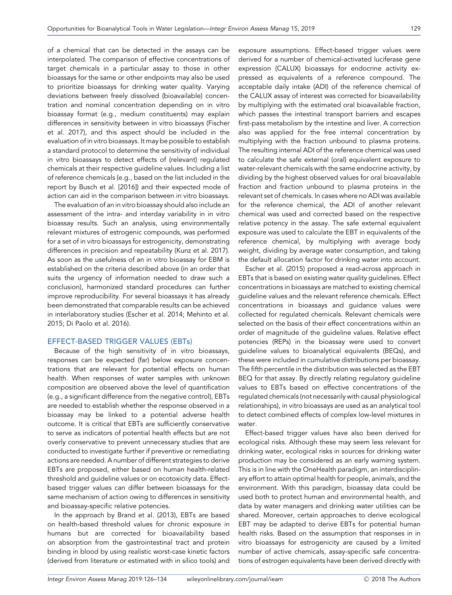of a chemical that can be detected in the assays can be interpolated. The comparison of effective concentrations of target chemicals in a particular assay to those in other bioassays for the same or other endpoints may also be used to prioritize bioassays for drinking water quality. Varying deviations between freely dissolved (bioavailable) concentration and nominal concentration depending on in vitro bioassay format (e.g., medium constituents) may explain differences in sensitivity between in vitro bioassays (Fischer et al. 2017), and this aspect should be included in the evaluation of in vitro bioassays. It may be possible to establish a standard protocol to determine the sensitivity of individual in vitro bioassays to detect effects of (relevant) regulated chemicals at their respective guideline values. Including a list of reference chemicals (e.g., based on the list included in the report by Busch et al. [2016]) and their expected mode of action can aid in the comparison between in vitro bioassays.

The evaluation of an in vitro bioassay should also include an assessment of the intra- and interday variability in in vitro bioassay results. Such an analysis, using environmentally relevant mixtures of estrogenic compounds, was performed for a set of in vitro bioassays for estrogenicity, demonstrating differences in precision and repeatability (Kunz et al. 2017). As soon as the usefulness of an in vitro bioassay for EBM is established on the criteria described above (in an order that suits the urgency of information needed to draw such a conclusion), harmonized standard procedures can further improve reproducibility. For several bioassays it has already been demonstrated that comparable results can be achieved in interlaboratory studies (Escher et al. 2014; Mehinto et al. 2015; Di Paolo et al. 2016).

#### EFFECT-BASED TRIGGER VALUES (EBTs)

Because of the high sensitivity of in vitro bioassays, responses can be expected (far) below exposure concentrations that are relevant for potential effects on human health. When responses of water samples with unknown composition are observed above the level of quantification (e.g., a significant difference from the negative control), EBTs are needed to establish whether the response observed in a bioassay may be linked to a potential adverse health outcome. It is critical that EBTs are sufficiently conservative to serve as indicators of potential health effects but are not overly conservative to prevent unnecessary studies that are conducted to investigate further if preventive or remediating actions are needed. A number of different strategies to derive EBTs are proposed, either based on human health-related threshold and guideline values or on ecotoxicity data. Effectbased trigger values can differ between bioassays for the same mechanism of action owing to differences in sensitivity and bioassay-specific relative potencies.

In the approach by Brand et al. (2013), EBTs are based on health-based threshold values for chronic exposure in humans but are corrected for bioavailability based on absorption from the gastrointestinal tract and protein binding in blood by using realistic worst-case kinetic factors (derived from literature or estimated with in silico tools) and exposure assumptions. Effect-based trigger values were derived for a number of chemical-activated luciferase gene expression (CALUX) bioassays for endocrine activity expressed as equivalents of a reference compound. The acceptable daily intake (ADI) of the reference chemical of the CALUX assay of interest was corrected for bioavailability by multiplying with the estimated oral bioavailable fraction, which passes the intestinal transport barriers and escapes first-pass metabolism by the intestine and liver. A correction also was applied for the free internal concentration by multiplying with the fraction unbound to plasma proteins. The resulting internal ADI of the reference chemical was used to calculate the safe external (oral) equivalent exposure to water-relevant chemicals with the same endocrine activity, by dividing by the highest observed values for oral bioavailable fraction and fraction unbound to plasma proteins in the relevant set of chemicals. In cases where no ADI was available for the reference chemical, the ADI of another relevant chemical was used and corrected based on the respective relative potency in the assay. The safe external equivalent exposure was used to calculate the EBT in equivalents of the reference chemical, by multiplying with average body weight, dividing by average water consumption, and taking the default allocation factor for drinking water into account.

Escher et al. (2015) proposed a read-across approach in EBTs that is based on existing water quality guidelines. Effect concentrations in bioassays are matched to existing chemical guideline values and the relevant reference chemicals. Effect concentrations in bioassays and guidance values were collected for regulated chemicals. Relevant chemicals were selected on the basis of their effect concentrations within an order of magnitude of the guideline values. Relative effect potencies (REPs) in the bioassay were used to convert guideline values to bioanalytical equivalents (BEQs), and these were included in cumulative distributions per bioassay. The fifth percentile in the distribution was selected as the EBT BEQ for that assay. By directly relating regulatory quideline values to EBTs based on effective concentrations of the regulated chemicals (not necessarily with causal physiological relationships), in vitro bioassays are used as an analytical tool to detect combined effects of complex low-level mixtures in water.

Effect-based trigger values have also been derived for ecological risks. Although these may seem less relevant for drinking water, ecological risks in sources for drinking water production may be considered as an early warning system. This is in line with the OneHealth paradigm, an interdisciplinary effort to attain optimal health for people, animals, and the environment. With this paradigm, bioassay data could be used both to protect human and environmental health, and data by water managers and drinking water utilities can be shared. Moreover, certain approaches to derive ecological EBT may be adapted to derive EBTs for potential human health risks. Based on the assumption that responses in in vitro bioassays for estrogenicity are caused by a limited number of active chemicals, assay-specific safe concentrations of estrogen equivalents have been derived directly with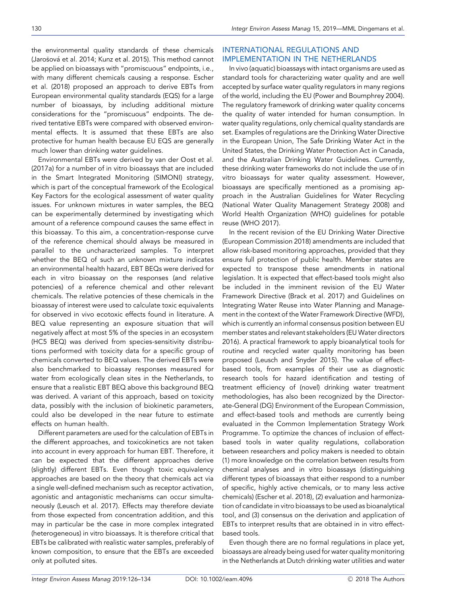the environmental quality standards of these chemicals (Jarošová et al. 2014; Kunz et al. 2015). This method cannot be applied on bioassays with "promiscuous" endpoints, i.e., with many different chemicals causing a response. Escher et al. (2018) proposed an approach to derive EBTs from European environmental quality standards (EQS) for a large number of bioassays, by including additional mixture considerations for the "promiscuous" endpoints. The derived tentative EBTs were compared with observed environmental effects. It is assumed that these EBTs are also protective for human health because EU EQS are generally much lower than drinking water guidelines.

Environmental EBTs were derived by van der Oost et al. (2017a) for a number of in vitro bioassays that are included in the Smart Integrated Monitoring (SIMONI) strategy, which is part of the conceptual framework of the Ecological Key Factors for the ecological assessment of water quality issues. For unknown mixtures in water samples, the BEQ can be experimentally determined by investigating which amount of a reference compound causes the same effect in this bioassay. To this aim, a concentration-response curve of the reference chemical should always be measured in parallel to the uncharacterized samples. To interpret whether the BEQ of such an unknown mixture indicates an environmental health hazard, EBT BEQs were derived for each in vitro bioassay on the responses (and relative potencies) of a reference chemical and other relevant chemicals. The relative potencies of these chemicals in the bioassay of interest were used to calculate toxic equivalents for observed in vivo ecotoxic effects found in literature. A BEQ value representing an exposure situation that will negatively affect at most 5% of the species in an ecosystem (HC5 BEQ) was derived from species-sensitivity distributions performed with toxicity data for a specific group of chemicals converted to BEQ values. The derived EBTs were also benchmarked to bioassay responses measured for water from ecologically clean sites in the Netherlands, to ensure that a realistic EBT BEQ above this background BEQ was derived. A variant of this approach, based on toxicity data, possibly with the inclusion of biokinetic parameters, could also be developed in the near future to estimate effects on human health.

Different parameters are used for the calculation of EBTs in the different approaches, and toxicokinetics are not taken into account in every approach for human EBT. Therefore, it can be expected that the different approaches derive (slightly) different EBTs. Even though toxic equivalency approaches are based on the theory that chemicals act via a single well-defined mechanism such as receptor activation, agonistic and antagonistic mechanisms can occur simultaneously (Leusch et al. 2017). Effects may therefore deviate from those expected from concentration addition, and this may in particular be the case in more complex integrated (heterogeneous) in vitro bioassays. It is therefore critical that EBTs be calibrated with realistic water samples, preferably of known composition, to ensure that the EBTs are exceeded only at polluted sites.

## INTERNATIONAL REGULATIONS AND IMPLEMENTATION IN THE NETHERLANDS

In vivo (aquatic) bioassays with intact organisms are used as standard tools for characterizing water quality and are well accepted by surface water quality regulators in many regions of the world, including the EU (Power and Boumphrey 2004). The regulatory framework of drinking water quality concerns the quality of water intended for human consumption. In water quality regulations, only chemical quality standards are set. Examples of regulations are the Drinking Water Directive in the European Union, The Safe Drinking Water Act in the United States, the Drinking Water Protection Act in Canada, and the Australian Drinking Water Guidelines. Currently, these drinking water frameworks do not include the use of in vitro bioassays for water quality assessment. However, bioassays are specifically mentioned as a promising approach in the Australian Guidelines for Water Recycling (National Water Quality Management Strategy 2008) and World Health Organization (WHO) guidelines for potable reuse (WHO 2017).

In the recent revision of the EU Drinking Water Directive (European Commission 2018) amendments are included that allow risk-based monitoring approaches, provided that they ensure full protection of public health. Member states are expected to transpose these amendments in national legislation. It is expected that effect-based tools might also be included in the imminent revision of the EU Water Framework Directive (Brack et al. 2017) and Guidelines on Integrating Water Reuse into Water Planning and Management in the context of the Water Framework Directive (WFD), which is currently an informal consensus position between EU member states and relevant stakeholders (EU Water directors 2016). A practical framework to apply bioanalytical tools for routine and recycled water quality monitoring has been proposed (Leusch and Snyder 2015). The value of effectbased tools, from examples of their use as diagnostic research tools for hazard identification and testing of treatment efficiency of (novel) drinking water treatment methodologies, has also been recognized by the Directorate-General (DG) Environment of the European Commission, and effect-based tools and methods are currently being evaluated in the Common Implementation Strategy Work Programme. To optimize the chances of inclusion of effectbased tools in water quality regulations, collaboration between researchers and policy makers is needed to obtain (1) more knowledge on the correlation between results from chemical analyses and in vitro bioassays (distinguishing different types of bioassays that either respond to a number of specific, highly active chemicals, or to many less active chemicals) (Escher et al. 2018), (2) evaluation and harmonization of candidate in vitro bioassays to be used as bioanalytical tool, and (3) consensus on the derivation and application of EBTs to interpret results that are obtained in in vitro effectbased tools.

Even though there are no formal regulations in place yet, bioassays are already being used for water quality monitoring in the Netherlands at Dutch drinking water utilities and water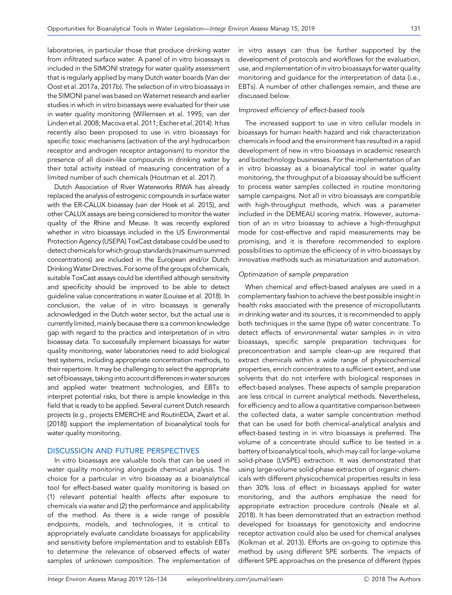laboratories, in particular those that produce drinking water from infiltrated surface water. A panel of in vitro bioassays is included in the SIMONI strategy for water quality assessment that is regularly applied by many Dutch water boards (Van der Oost et al. 2017a, 2017b). The selection of in vitro bioassays in the SIMONI panel was based on Waternet research and earlier studies in which in vitro bioassays were evaluated for their use in water quality monitoring (Willemsen et al. 1995; van der Linden et al. 2008; Macova et al. 2011; Escher et al. 2014). It has recently also been proposed to use in vitro bioassays for specific toxic mechanisms (activation of the aryl hydrocarbon receptor and androgen receptor antagonism) to monitor the presence of all dioxin-like compounds in drinking water by their total activity instead of measuring concentration of a limited number of such chemicals (Houtman et al. 2017).

Dutch Association of River Waterworks RIWA has already replaced the analysis of estrogenic compounds in surface water with the ER-CALUX bioassay (van der Hoek et al. 2015), and other CALUX assays are being considered to monitor the water quality of the Rhine and Meuse. It was recently explored whether in vitro bioassays included in the US Environmental Protection Agency (USEPA) ToxCast database could be used to detect chemicals for which group standards (maximum summed concentrations) are included in the European and/or Dutch Drinking Water Directives. For some of the groups of chemicals, suitable ToxCast assays could be identified although sensitivity and specificity should be improved to be able to detect guideline value concentrations in water (Louisse et al. 2018). In conclusion, the value of in vitro bioassays is generally acknowledged in the Dutch water sector, but the actual use is currently limited, mainly because there is a common knowledge gap with regard to the practice and interpretation of in vitro bioassay data. To successfully implement bioassays for water quality monitoring, water laboratories need to add biological test systems, including appropriate concentration methods, to their repertoire. It may be challenging to select the appropriate set of bioassays, taking into account differences in water sources and applied water treatment technologies, and EBTs to interpret potential risks, but there is ample knowledge in this field that is ready to be applied. Several current Dutch research projects (e.g., projects EMERCHE and RoutinEDA, Zwart et al. [2018]) support the implementation of bioanalytical tools for water quality monitoring.

#### DISCUSSION AND FUTURE PERSPECTIVES

In vitro bioassays are valuable tools that can be used in water quality monitoring alongside chemical analysis. The choice for a particular in vitro bioassay as a bioanalytical tool for effect-based water quality monitoring is based on (1) relevant potential health effects after exposure to chemicals via water and (2) the performance and applicability of the method. As there is a wide range of possible endpoints, models, and technologies, it is critical to appropriately evaluate candidate bioassays for applicability and sensitivity before implementation and to establish EBTs to determine the relevance of observed effects of water samples of unknown composition. The implementation of in vitro assays can thus be further supported by the development of protocols and workflows for the evaluation, use, and implementation of in vitro bioassays for water quality monitoring and guidance for the interpretation of data (i.e., EBTs). A number of other challenges remain, and these are discussed below.

#### Improved efficiency of effect-based tools

The increased support to use in vitro cellular models in bioassays for human health hazard and risk characterization chemicals in food and the environment has resulted in a rapid development of new in vitro bioassays in academic research and biotechnology businesses. For the implementation of an in vitro bioassay as a bioanalytical tool in water quality monitoring, the throughput of a bioassay should be sufficient to process water samples collected in routine monitoring sample campaigns. Not all in vitro bioassays are compatible with high-throughput methods, which was a parameter included in the DEMEAU scoring matrix. However, automation of an in vitro bioassay to achieve a high-throughput mode for cost-effective and rapid measurements may be promising, and it is therefore recommended to explore possibilities to optimize the efficiency of in vitro bioassays by innovative methods such as miniaturization and automation.

#### Optimization of sample preparation

When chemical and effect-based analyses are used in a complementary fashion to achieve the best possible insight in health risks associated with the presence of micropollutants in drinking water and its sources, it is recommended to apply both techniques in the same (type of) water concentrate. To detect effects of environmental water samples in in vitro bioassays, specific sample preparation techniques for preconcentration and sample clean-up are required that extract chemicals within a wide range of physicochemical properties, enrich concentrates to a sufficient extent, and use solvents that do not interfere with biological responses in effect-based analyses. These aspects of sample preparation are less critical in current analytical methods. Nevertheless, for efficiency and to allow a quantitative comparison between the collected data, a water sample concentration method that can be used for both chemical-analytical analysis and effect-based testing in in vitro bioassays is preferred. The volume of a concentrate should suffice to be tested in a battery of bioanalytical tools, which may call for large-volume solid-phase (LVSPE) extraction. It was demonstrated that using large-volume solid-phase extraction of organic chemicals with different physicochemical properties results in less than 30% loss of effect in bioassays applied for water monitoring, and the authors emphasize the need for appropriate extraction procedure controls (Neale et al. 2018). It has been demonstrated that an extraction method developed for bioassays for genotoxicity and endocrine receptor activation could also be used for chemical analyses (Kolkman et al. 2013). Efforts are on-going to optimize this method by using different SPE sorbents. The impacts of different SPE approaches on the presence of different (types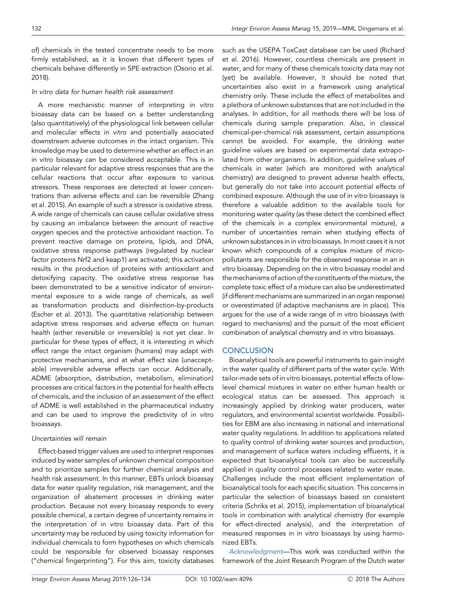of) chemicals in the tested concentrate needs to be more firmly established, as it is known that different types of chemicals behave differently in SPE extraction (Osorio et al. 2018).

#### In vitro data for human health risk assessment

A more mechanistic manner of interpreting in vitro bioassay data can be based on a better understanding (also quantitatively) of the physiological link between cellular and molecular effects in vitro and potentially associated downstream adverse outcomes in the intact organism. This knowledge may be used to determine whether an effect in an in vitro bioassay can be considered acceptable. This is in particular relevant for adaptive stress responses that are the cellular reactions that occur after exposure to various stressors. These responses are detected at lower concentrations than adverse effects and can be reversible (Zhang et al. 2015). An example of such a stressor is oxidative stress. A wide range of chemicals can cause cellular oxidative stress by causing an imbalance between the amount of reactive oxygen species and the protective antioxidant reaction. To prevent reactive damage on proteins, lipids, and DNA, oxidative stress response pathways (regulated by nuclear factor proteins Nrf2 and keap1) are activated; this activation results in the production of proteins with antioxidant and detoxifying capacity. The oxidative stress response has been demonstrated to be a sensitive indicator of environmental exposure to a wide range of chemicals, as well as transformation products and disinfection-by-products (Escher et al. 2013). The quantitative relationship between adaptive stress responses and adverse effects on human health (either reversible or irreversible) is not yet clear. In particular for these types of effect, it is interesting in which effect range the intact organism (humans) may adapt with protective mechanisms, and at what effect size (unacceptable) irreversible adverse effects can occur. Additionally, ADME (absorption, distribution, metabolism, elimination) processes are critical factors in the potential for health effects of chemicals, and the inclusion of an assessment of the effect of ADME is well established in the pharmaceutical industry and can be used to improve the predictivity of in vitro bioassays.

#### Uncertainties will remain

Effect-based trigger values are used to interpret responses induced by water samples of unknown chemical composition and to prioritize samples for further chemical analysis and health risk assessment. In this manner, EBTs unlock bioassay data for water quality regulation, risk management, and the organization of abatement processes in drinking water production. Because not every bioassay responds to every possible chemical, a certain degree of uncertainty remains in the interpretation of in vitro bioassay data. Part of this uncertainty may be reduced by using toxicity information for individual chemicals to form hypotheses on which chemicals could be responsible for observed bioassay responses ("chemical fingerprinting"). For this aim, toxicity databases

such as the USEPA ToxCast database can be used (Richard et al. 2016). However, countless chemicals are present in water, and for many of these chemicals toxicity data may not (yet) be available. However, it should be noted that uncertainties also exist in a framework using analytical chemistry only. These include the effect of metabolites and a plethora of unknown substances that are not included in the analyses. In addition, for all methods there will be loss of chemicals during sample preparation. Also, in classical chemical-per-chemical risk assessment, certain assumptions cannot be avoided. For example, the drinking water guideline values are based on experimental data extrapolated from other organisms. In addition, guideline values of chemicals in water (which are monitored with analytical chemistry) are designed to prevent adverse health effects, but generally do not take into account potential effects of combined exposure. Although the use of in vitro bioassays is therefore a valuable addition to the available tools for monitoring water quality (as these detect the combined effect of the chemicals in a complex environmental mixture), a number of uncertainties remain when studying effects of unknown substances in in vitro bioassays. In most cases it is not known which compounds of a complex mixture of micropollutants are responsible for the observed response in an in vitro bioassay. Depending on the in vitro bioassay model and the mechanisms of action of the constituents of the mixture, the complete toxic effect of a mixture can also be underestimated (if different mechanisms are summarized in an organ response) or overestimated (if adaptive mechanisms are in place). This argues for the use of a wide range of in vitro bioassays (with regard to mechanisms) and the pursuit of the most efficient combination of analytical chemistry and in vitro bioassays.

#### **CONCLUSION**

Bioanalytical tools are powerful instruments to gain insight in the water quality of different parts of the water cycle. With tailor-made sets of in vitro bioassays, potential effects of lowlevel chemical mixtures in water on either human health or ecological status can be assessed. This approach is increasingly applied by drinking water producers, water regulators, and environmental scientist worldwide. Possibilities for EBM are also increasing in national and international water quality regulations. In addition to applications related to quality control of drinking water sources and production, and management of surface waters including effluents, it is expected that bioanalytical tools can also be successfully applied in quality control processes related to water reuse. Challenges include the most efficient implementation of bioanalytical tools for each specific situation. This concerns in particular the selection of bioassays based on consistent criteria (Schriks et al. 2015), implementation of bioanalytical tools in combination with analytical chemistry (for example for effect-directed analysis), and the interpretation of measured responses in in vitro bioassays by using harmonized EBTs.

Acknowledgment—This work was conducted within the framework of the Joint Research Program of the Dutch water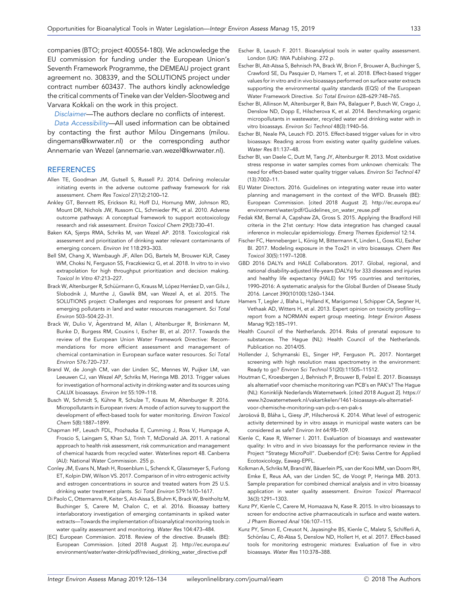companies (BTO; project 400554-180). We acknowledge the EU commission for funding under the European Union's Seventh Framework Programme, the DEMEAU project grant agreement no. 308339, and the SOLUTIONS project under contract number 603437. The authors kindly acknowledge the critical comments of Tineke van der Velden-Slootweg and Varvara Kokkali on the work in this project.

Disclaimer—The authors declare no conflicts of interest.

Data Accessibility—All used information can be obtained by contacting the first author Milou Dingemans (milou. dingemans@kwrwater.nl) or the corresponding author Annemarie van Wezel (annemarie.van.wezel@kwrwater.nl).

#### **REFERENCES**

- Allen TE, Goodman JM, Gutsell S, Russell PJ. 2014. Defining molecular initiating events in the adverse outcome pathway framework for risk assessment. Chem Res Toxicol 27(12):2100–12.
- Ankley GT, Bennett RS, Erickson RJ, Hoff DJ, Hornung MW, Johnson RD, Mount DR, Nichols JW, Russom CL, Schmieder PK, et al. 2010. Adverse outcome pathways: A conceptual framework to support ecotoxicology research and risk assessment. Environ Toxicol Chem 29(3):730–41.
- Baken KA, Sjerps RMA, Schriks M, van Wezel AP. 2018. Toxicological risk assessment and prioritization of drinking water relevant contaminants of emerging concern. Environ Int 118:293–303.
- Bell SM, Chang X, Wambaugh JF, Allen DG, Bartels M, Brouwer KLR, Casey WM, Choksi N, Ferguson SS, Fraczkiewicz G, et al. 2018. In vitro to in vivo extrapolation for high throughput prioritization and decision making. Toxicol In Vitro 47:213–227.
- Brack W, Altenburger R, Schüürmann G, Krauss M, López Herráez D, van Gils J, Slobodnik J, Munthe J, Gawlik BM, van Wezel A, et al. 2015. The SOLUTIONS project: Challenges and responses for present and future emerging pollutants in land and water resources management. Sci Total Environ 503–504:22–31.
- Brack W, Dulio V, Å gerstrand M, Allan I, Altenburger R, Brinkmann M, Bunke D, Burgess RM, Cousins I, Escher BI, et al. 2017. Towards the review of the European Union Water Framework Directive: Recommendations for more efficient assessment and management of chemical contamination in European surface water resources. Sci Total Environ 576:720–737.
- Brand W, de Jongh CM, van der Linden SC, Mennes W, Puijker LM, van Leeuwen CJ, van Wezel AP, Schriks M, Heringa MB. 2013. Trigger values for investigation of hormonal activity in drinking water and its sources using CALUX bioassays. Environ Int 55:109–118.
- Busch W, Schmidt S, Kühne R, Schulze T, Krauss M, Altenburger R. 2016. Micropollutants in European rivers: A mode of action survey to support the development of effect-based tools for water monitoring. Environ Toxicol Chem 5(8):1887–1899.
- Chapman HF, Leusch FDL, Prochazka E, Cumming J, Ross V, Humpage A, Froscio S, Laingam S, Khan SJ, Trinh T, McDonald JA. 2011. A national approach to health risk assessment, risk communication and management of chemical hazards from recycled water. Waterlines report 48. Canberra (AU): National Water Commission. 255 p.
- Conley JM, Evans N, Mash H, Rosenblum L, Schenck K, Glassmeyer S, Furlong ET, Kolpin DW, Wilson VS. 2017. Comparison of in vitro estrogenic activity and estrogen concentrations in source and treated waters from 25 U.S. drinking water treatment plants. Sci Total Environ 579:1610–1617.
- Di Paolo C, Ottermanns R, Keiter S, Ait-Aissa S, Bluhm K, Brack W, Breitholtz M, Buchinger S, Carere M, Chalon C, et al. 2016. Bioassay battery interlaboratory investigation of emerging contaminants in spiked water extracts—Towards the implementation of bioanalytical monitoring tools in water quality assessment and monitoring. Water Res 104:473–484.
- [EC] European Commission. 2018. Review of the directive. Brussels (BE): European Commission. [cited 2018 August 2]. [http://ec.europa.eu/](http://ec.europa.eu/environment/water/water-drink/pdf/revised_drinking_water_directive.pdf) [environment/water/water-drink/pdf/revised\\_drinking\\_water\\_directive.pdf](http://ec.europa.eu/environment/water/water-drink/pdf/revised_drinking_water_directive.pdf)
- Escher B, Leusch F. 2011. Bioanalytical tools in water quality assessment. London (UK): IWA Publishing. 272 p.
- Escher BI, Aїt-Aїssa S, Behnisch PA, Brack W, Brion F, Brouwer A, Buchinger S, Crawford SE, Du Pasquier D, Hamers T, et al. 2018. Effect-based trigger values for in vitro and in vivo bioassays performed on surface water extracts supporting the environmental quality standards (EQS) of the European Water Framework Directive. Sci Total Environ 628–629:748–765.
- Escher BI, Allinson M, Altenburger R, Bain PA, Balaguer P, Busch W, Crago J, Denslow ND, Dopp E, Hilscherova K, et al. 2014. Benchmarking organic micropollutants in wastewater, recycled water and drinking water with in vitro bioassays. Environ Sci Technol 48(3):1940–56.
- Escher BI, Neale PA, Leusch FD. 2015. Effect-based trigger values for in vitro bioassays: Reading across from existing water quality guideline values. Water Res 81:137–48.
- Escher BI, van Daele C, Dutt M, Tang JY, Altenburger R. 2013. Most oxidative stress response in water samples comes from unknown chemicals: The need for effect-based water quality trigger values. Environ Sci Technol 47 (13):7002–11.
- EU Water Directors. 2016. Guidelines on integrating water reuse into water planning and management in the context of the WFD. Brussels (BE): European Commission. [cited 2018 August 2]. [http://ec.europa.eu/](http://ec.europa.eu/environment/water/pdf/Guidelines_on_water_reuse.pdf) [environment/water/pdf/Guidelines\\_on\\_water\\_reuse.pdf](http://ec.europa.eu/environment/water/pdf/Guidelines_on_water_reuse.pdf)
- Fedak KM, Bernal A, Capshaw ZA, Gross S. 2015. Applying the Bradford Hill criteria in the 21st century: How data integration has changed causal inference in molecular epidemiology. Emerg Themes Epidemiol 12:14.
- Fischer FC, Henneberger L, König M, Bittermann K, Linden L, Goss KU, Escher BI. 2017. Modeling exposure in the Tox21 in vitro bioassays. Chem Res Toxicol 30(5):1197–1208.
- GBD 2016 DALYs and HALE Collaborators. 2017. Global, regional, and national disability-adjusted life-years (DALYs) for 333 diseases and injuries and healthy life expectancy (HALE) for 195 countries and territories, 1990–2016: A systematic analysis for the Global Burden of Disease Study 2016. Lancet 390(10100):1260–1344.
- Hamers T, Legler J, Blaha L, Hylland K, Marigomez I, Schipper CA, Segner H, Vethaak AD, Witters H, et al. 2013. Expert opinion on toxicity profiling report from a NORMAN expert group meeting. Integr Environ Assess Manag 9(2):185–191.
- Health Council of the Netherlands. 2014. Risks of prenatal exposure to substances. The Hague (NL): Health Council of the Netherlands. Publication no. 2014/05.
- Hollender J, Schymanski EL, Singer HP, Ferguson PL. 2017. Nontarget screening with high resolution mass spectrometry in the environment: Ready to go? Environ Sci Technol 51(20):11505–11512.
- Houtman C, Kroesbergen J, Behnisch P, Brouwer B, Felzel E. 2017. Bioassays als alternatief voor chemische monitoring van PCB's en PAK's? The Hague (NL): Koninklijk Nederlands Waternetwerk. [cited 2018 August 2]. [https://](https://www.h2owaternetwerk.nl/vakartikelen/1461-bioassays-als-alternatief-voor-chemische-monitoring-van-pcb-s-en-pak-s) [www.h2owaternetwerk.nl/vakartikelen/1461-bioassays-als-alternatief](https://www.h2owaternetwerk.nl/vakartikelen/1461-bioassays-als-alternatief-voor-chemische-monitoring-van-pcb-s-en-pak-s)[voor-chemische-monitoring-van-pcb-s-en-pak-s](https://www.h2owaternetwerk.nl/vakartikelen/1461-bioassays-als-alternatief-voor-chemische-monitoring-van-pcb-s-en-pak-s)
- Jarošová B, Bláha L, Giesy JP, Hilscherová K. 2014. What level of estrogenic activity determined by in vitro assays in municipal waste waters can be considered as safe? Environ Int 64:98–109.
- Kienle C, Kase R, Werner I. 2011. Evaluation of bioassays and wastewater quality: In vitro and in vivo bioassays for the performance review in the Project "Strategy MicroPoll". Duebendorf (CH): Swiss Centre for Applied Ecotoxicology, Eawag-EPFL.
- Kolkman A, Schriks M, Brand W, Bäuerlein PS, van der Kooi MM, van Doorn RH, Emke E, Reus AA, van der Linden SC, de Voogt P, Heringa MB. 2013. Sample preparation for combined chemical analysis and in vitro bioassay application in water quality assessment. Environ Toxicol Pharmacol 36(3):1291–1303.
- Kunz PY, Kienle C, Carere M, Homazava N, Kase R. 2015. In vitro bioassays to screen for endocrine active pharmaceuticals in surface and waste waters. J Pharm Biomed Anal 106:107–115.
- Kunz PY, Simon E, Creusot N, Jayasinghe BS, Kienle C, Maletz S, Schifferli A, Schönlau C, At-Assa S, Denslow ND, Hollert H, et al. 2017. Effect-based tools for monitoring estrogenic mixtures: Evaluation of five in vitro bioassays. Water Res 110:378–388.